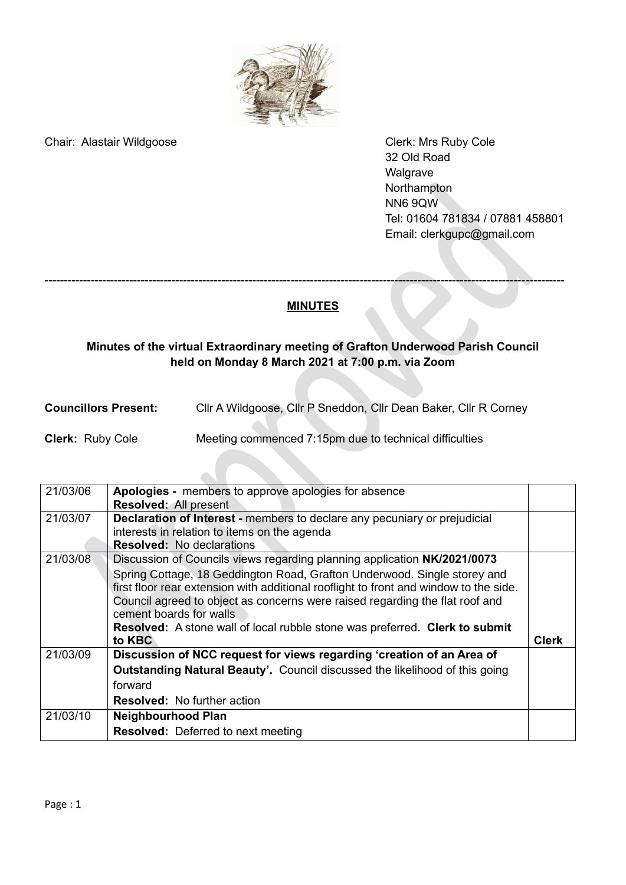

Chair: Alastair Wildgoose Chair: Alastair Wildgoose Chair: Alastair Wildgoose Chair: Annual Clerk: Mrs Ruby Cole

32 Old Road Walgrave Northampton NN6 9QW Tel: 01604 781834 / 07881 458801 Email: [clerkgupc@gmail.com](mailto:clerkgupc@gmail.com)

## **MINUTES**

---------------------------------------------------------------------------------------------------------------------------------------

## **Minutes of the virtual Extraordinary meeting of Grafton Underwood Parish Council held on Monday 8 March 2021 at 7:00 p.m. via Zoom**

**Councillors Present:** Cllr A Wildgoose, Cllr P Sneddon, Cllr Dean Baker, Cllr R Corney

## **Clerk:** Ruby Cole Meeting commenced 7:15pm due to technical difficulties

| 21/03/06 | Apologies - members to approve apologies for absence                                                                                                                                                                                              |              |
|----------|---------------------------------------------------------------------------------------------------------------------------------------------------------------------------------------------------------------------------------------------------|--------------|
|          | Resolved: All present                                                                                                                                                                                                                             |              |
| 21/03/07 | <b>Declaration of Interest - members to declare any pecuniary or prejudicial</b>                                                                                                                                                                  |              |
|          | interests in relation to items on the agenda                                                                                                                                                                                                      |              |
|          | <b>Resolved: No declarations</b>                                                                                                                                                                                                                  |              |
| 21/03/08 | Discussion of Councils views regarding planning application NK/2021/0073                                                                                                                                                                          |              |
|          | Spring Cottage, 18 Geddington Road, Grafton Underwood. Single storey and<br>first floor rear extension with additional rooflight to front and window to the side.<br>Council agreed to object as concerns were raised regarding the flat roof and |              |
|          | cement boards for walls                                                                                                                                                                                                                           |              |
|          | <b>Resolved:</b> A stone wall of local rubble stone was preferred. Clerk to submit                                                                                                                                                                |              |
|          | to KBC                                                                                                                                                                                                                                            | <b>Clerk</b> |
| 21/03/09 | Discussion of NCC request for views regarding 'creation of an Area of                                                                                                                                                                             |              |
|          | <b>Outstanding Natural Beauty'.</b> Council discussed the likelihood of this going                                                                                                                                                                |              |
|          | forward                                                                                                                                                                                                                                           |              |
|          | <b>Resolved:</b> No further action                                                                                                                                                                                                                |              |
| 21/03/10 | <b>Neighbourhood Plan</b>                                                                                                                                                                                                                         |              |
|          | <b>Resolved:</b> Deferred to next meeting                                                                                                                                                                                                         |              |